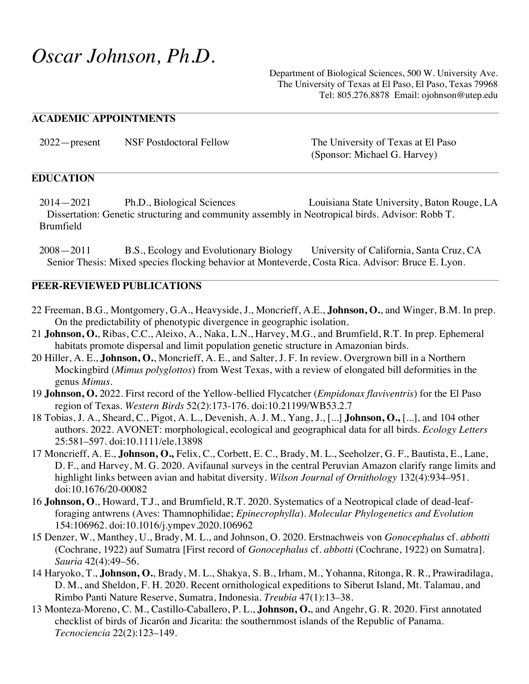# *Oscar Johnson, Ph.D.*

Department of Biological Sciences, 500 W. University Ave. The University of Texas at El Paso, El Paso, Texas 79968 Tel: 805.276.8878 Email: ojohnson@utep.edu

#### **ACADEMIC APPOINTMENTS**

| $2022$ - present | <b>NSF Postdoctoral Fellow</b> | The University of Texas at El Paso |
|------------------|--------------------------------|------------------------------------|
|                  |                                | (Sponsor: Michael G. Harvey)       |

#### **EDUCATION**

 2014—2021 Ph.D., Biological Sciences Louisiana State University, Baton Rouge, LA Dissertation: Genetic structuring and community assembly in Neotropical birds. Advisor: Robb T. Brumfield

2008—2011 B.S., Ecology and Evolutionary Biology University of California, Santa Cruz, CA Senior Thesis: Mixed species flocking behavior at Monteverde, Costa Rica. Advisor: Bruce E. Lyon.

#### **PEER-REVIEWED PUBLICATIONS**

- 22 Freeman, B.G., Montgomery, G.A., Heavyside, J., Moncrieff, A.E., **Johnson, O.**, and Winger, B.M. In prep. On the predictability of phenotypic divergence in geographic isolation.
- 21 **Johnson, O.**, Ribas, C.C., Aleixo, A., Naka, L.N., Harvey, M.G., and Brumfield, R.T. In prep. Ephemeral habitats promote dispersal and limit population genetic structure in Amazonian birds.
- 20 Hiller, A. E., **Johnson, O.**, Moncrieff, A. E., and Salter, J. F. In review. Overgrown bill in a Northern Mockingbird (*Mimus polyglottos*) from West Texas, with a review of elongated bill deformities in the genus *Mimus*.
- 19 **Johnson, O.** 2022. First record of the Yellow-bellied Flycatcher (*Empidonax flaviventris*) for the El Paso region of Texas. *Western Birds* 52(2):173-176. doi:10.21199/WB53.2.7
- 18 Tobias, J. A., Sheard, C., Pigot, A. L., Devenish, A. J. M., Yang, J., [...] **Johnson, O.,** [...], and 104 other authors. 2022. AVONET: morphological, ecological and geographical data for all birds. *Ecology Letters* 25:581–597. doi:10.1111/ele.13898
- 17 Moncrieff, A. E., **Johnson, O.,** Felix, C., Corbett, E. C., Brady, M. L., Seeholzer, G. F., Bautista, E., Lane, D. F., and Harvey, M. G. 2020. Avifaunal surveys in the central Peruvian Amazon clarify range limits and highlight links between avian and habitat diversity. *Wilson Journal of Ornithology* 132(4):934–951. doi:10.1676/20-00082
- 16 **Johnson, O**., Howard, T.J., and Brumfield, R.T. 2020. Systematics of a Neotropical clade of dead-leafforaging antwrens (Aves: Thamnophilidae; *Epinecrophylla*). *Molecular Phylogenetics and Evolution* 154:106962. doi:10.1016/j.ympev.2020.106962
- 15 Denzer, W., Manthey, U., Brady, M. L., and Johnson, O. 2020. Erstnachweis von *Gonocephalus* cf. *abbotti* (Cochrane, 1922) auf Sumatra [First record of *Gonocephalus* cf. *abbotti* (Cochrane, 1922) on Sumatra]. *Sauria* 42(4):49–56.
- 14 Haryoko, T., **Johnson, O.**, Brady, M. L., Shakya, S. B., Irham, M., Yohanna, Ritonga, R. R., Prawiradilaga, D. M., and Sheldon, F. H. 2020. Recent ornithological expeditions to Siberut Island, Mt. Talamau, and Rimbo Panti Nature Reserve, Sumatra, Indonesia. *Treubia* 47(1):13–38.
- 13 Monteza-Moreno, C. M., Castillo-Caballero, P. L., **Johnson, O.**, and Angehr, G. R. 2020. First annotated checklist of birds of Jicarón and Jicarita: the southernmost islands of the Republic of Panama. *Tecnociencia* 22(2):123–149.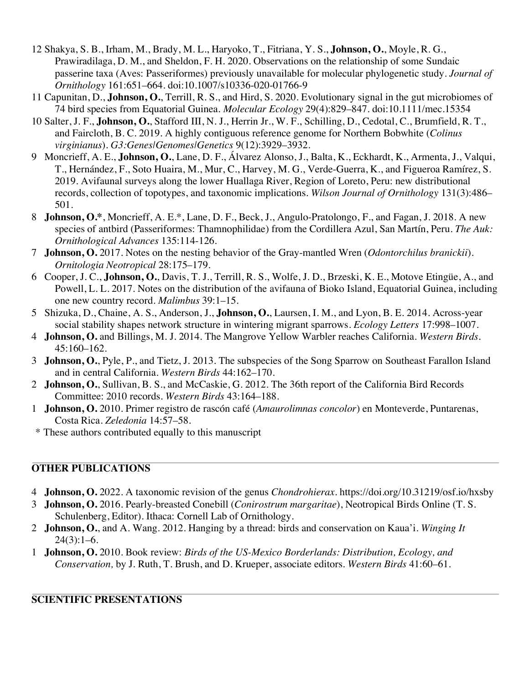- 12 Shakya, S. B., Irham, M., Brady, M. L., Haryoko, T., Fitriana, Y. S., **Johnson, O.**, Moyle, R. G., Prawiradilaga, D. M., and Sheldon, F. H. 2020. Observations on the relationship of some Sundaic passerine taxa (Aves: Passeriformes) previously unavailable for molecular phylogenetic study. *Journal of Ornithology* 161:651–664. doi:10.1007/s10336-020-01766-9
- 11 Capunitan, D., **Johnson, O.**, Terrill, R. S., and Hird, S. 2020. Evolutionary signal in the gut microbiomes of 74 bird species from Equatorial Guinea. *Molecular Ecology* 29(4):829–847. doi:10.1111/mec.15354
- 10 Salter, J. F., **Johnson, O.**, Stafford III, N. J., Herrin Jr., W. F., Schilling, D., Cedotal, C., Brumfield, R. T., and Faircloth, B. C. 2019. A highly contiguous reference genome for Northern Bobwhite (*Colinus virginianus*). *G3:Genes|Genomes|Genetics* 9(12):3929–3932.
- 9 Moncrieff, A. E., **Johnson, O.**, Lane, D. F., Álvarez Alonso, J., Balta, K., Eckhardt, K., Armenta, J., Valqui, T., Hernández, F., Soto Huaira, M., Mur, C., Harvey, M. G., Verde-Guerra, K., and Figueroa Ramírez, S. 2019. Avifaunal surveys along the lower Huallaga River, Region of Loreto, Peru: new distributional records, collection of topotypes, and taxonomic implications. *Wilson Journal of Ornithology* 131(3):486– 501.
- 8 **Johnson, O.\***, Moncrieff, A. E.\*, Lane, D. F., Beck, J., Angulo-Pratolongo, F., and Fagan, J. 2018. A new species of antbird (Passeriformes: Thamnophilidae) from the Cordillera Azul, San Martín, Peru. *The Auk: Ornithological Advances* 135:114-126.
- 7 **Johnson, O.** 2017. Notes on the nesting behavior of the Gray-mantled Wren (*Odontorchilus branickii*). *Ornitologia Neotropical* 28:175–179.
- 6 Cooper, J. C., **Johnson, O.**, Davis, T. J., Terrill, R. S., Wolfe, J. D., Brzeski, K. E., Motove Etingüe, A., and Powell, L. L. 2017. Notes on the distribution of the avifauna of Bioko Island, Equatorial Guinea, including one new country record. *Malimbus* 39:1–15.
- 5 Shizuka, D., Chaine, A. S., Anderson, J., **Johnson, O.**, Laursen, I. M., and Lyon, B. E. 2014. Across-year social stability shapes network structure in wintering migrant sparrows. *Ecology Letters* 17:998–1007.
- 4 **Johnson, O.** and Billings, M. J. 2014. The Mangrove Yellow Warbler reaches California. *Western Birds*. 45:160–162.
- 3 **Johnson, O.**, Pyle, P., and Tietz, J. 2013. The subspecies of the Song Sparrow on Southeast Farallon Island and in central California. *Western Birds* 44:162–170.
- 2 **Johnson, O.**, Sullivan, B. S., and McCaskie, G. 2012. The 36th report of the California Bird Records Committee: 2010 records. *Western Birds* 43:164–188.
- 1 **Johnson, O.** 2010. Primer registro de rascón café (*Amaurolimnas concolor*) en Monteverde, Puntarenas, Costa Rica. *Zeledonia* 14:57–58.
- \* These authors contributed equally to this manuscript

## **OTHER PUBLICATIONS**

- 4 **Johnson, O.** 2022. A taxonomic revision of the genus *Chondrohierax*. https://doi.org/10.31219/osf.io/hxsby
- 3 **Johnson, O.** 2016. Pearly-breasted Conebill (*Conirostrum margaritae*), Neotropical Birds Online (T. S. Schulenberg, Editor). Ithaca: Cornell Lab of Ornithology.
- 2 **Johnson, O.**, and A. Wang. 2012. Hanging by a thread: birds and conservation on Kaua'i. *Winging It*  $24(3):1-6.$
- 1 **Johnson, O.** 2010. Book review: *Birds of the US-Mexico Borderlands: Distribution, Ecology, and Conservation,* by J. Ruth, T. Brush, and D. Krueper, associate editors. *Western Birds* 41:60–61.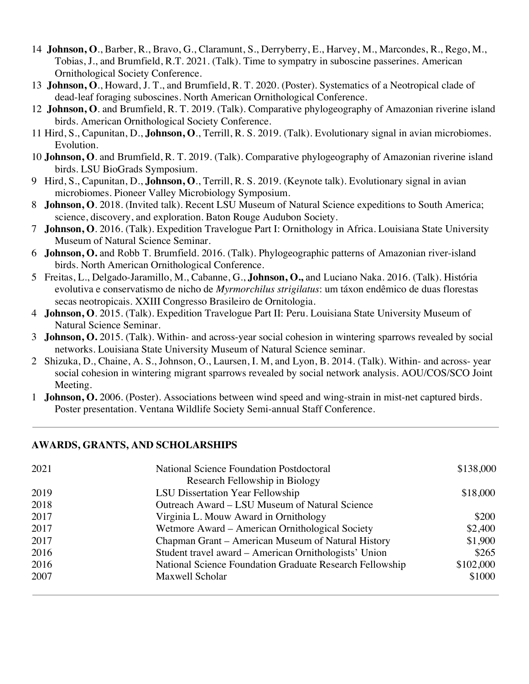- 14 **Johnson, O**., Barber, R., Bravo, G., Claramunt, S., Derryberry, E., Harvey, M., Marcondes, R., Rego, M., Tobias, J., and Brumfield, R.T. 2021. (Talk). Time to sympatry in suboscine passerines. American Ornithological Society Conference.
- 13 **Johnson, O**., Howard, J. T., and Brumfield, R. T. 2020. (Poster). Systematics of a Neotropical clade of dead-leaf foraging suboscines. North American Ornithological Conference.
- 12 **Johnson, O**. and Brumfield, R. T. 2019. (Talk). Comparative phylogeography of Amazonian riverine island birds. American Ornithological Society Conference.
- 11 Hird, S., Capunitan, D., **Johnson, O**., Terrill, R. S. 2019. (Talk). Evolutionary signal in avian microbiomes. Evolution.
- 10 **Johnson, O**. and Brumfield, R. T. 2019. (Talk). Comparative phylogeography of Amazonian riverine island birds. LSU BioGrads Symposium.
- 9 Hird, S., Capunitan, D., **Johnson, O**., Terrill, R. S. 2019. (Keynote talk). Evolutionary signal in avian microbiomes. Pioneer Valley Microbiology Symposium.
- 8 **Johnson, O**. 2018. (Invited talk). Recent LSU Museum of Natural Science expeditions to South America; science, discovery, and exploration. Baton Rouge Audubon Society.
- 7 **Johnson, O**. 2016. (Talk). Expedition Travelogue Part I: Ornithology in Africa. Louisiana State University Museum of Natural Science Seminar.
- 6 **Johnson, O.** and Robb T. Brumfield. 2016. (Talk). Phylogeographic patterns of Amazonian river-island birds. North American Ornithological Conference.
- 5 Freitas, L., Delgado-Jaramillo, M., Cabanne, G., **Johnson, O.,** and Luciano Naka. 2016. (Talk). História evolutiva e conservatismo de nicho de *Myrmorchilus strigilatus*: um táxon endêmico de duas florestas secas neotropicais. XXIII Congresso Brasileiro de Ornitologia.
- 4 **Johnson, O**. 2015. (Talk). Expedition Travelogue Part II: Peru. Louisiana State University Museum of Natural Science Seminar.
- 3 **Johnson, O.** 2015. (Talk). Within- and across-year social cohesion in wintering sparrows revealed by social networks. Louisiana State University Museum of Natural Science seminar.
- 2 Shizuka, D., Chaine, A. S., Johnson, O., Laursen, I. M, and Lyon, B. 2014. (Talk). Within- and across- year social cohesion in wintering migrant sparrows revealed by social network analysis. AOU/COS/SCO Joint Meeting.
- 1 **Johnson, O.** 2006. (Poster). Associations between wind speed and wing-strain in mist-net captured birds. Poster presentation. Ventana Wildlife Society Semi-annual Staff Conference.

## **AWARDS, GRANTS, AND SCHOLARSHIPS**

| 2021 | <b>National Science Foundation Postdoctoral</b>          | \$138,000 |
|------|----------------------------------------------------------|-----------|
|      | Research Fellowship in Biology                           |           |
| 2019 | <b>LSU Dissertation Year Fellowship</b>                  | \$18,000  |
| 2018 | Outreach Award – LSU Museum of Natural Science           |           |
| 2017 | Virginia L. Mouw Award in Ornithology                    | \$200     |
| 2017 | Wetmore Award – American Ornithological Society          | \$2,400   |
| 2017 | Chapman Grant – American Museum of Natural History       | \$1,900   |
| 2016 | Student travel award – American Ornithologists' Union    | \$265     |
| 2016 | National Science Foundation Graduate Research Fellowship | \$102,000 |
| 2007 | Maxwell Scholar                                          | \$1000    |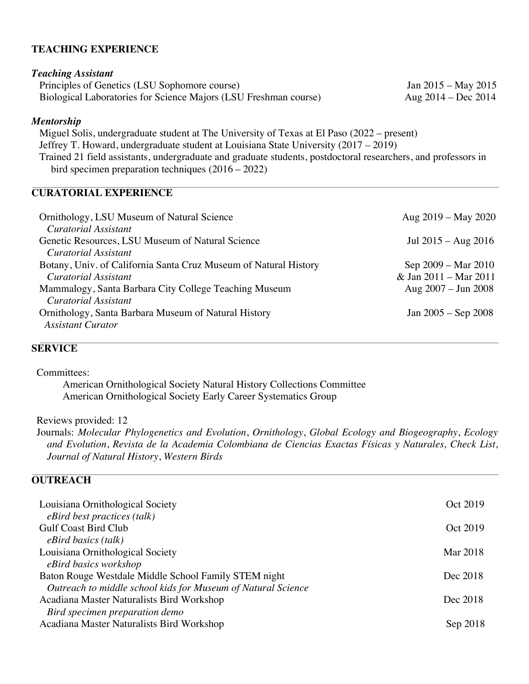#### **TEACHING EXPERIENCE**

#### *Teaching Assistant*

Principles of Genetics (LSU Sophomore course) Jan 2015 – May 2015 Biological Laboratories for Science Majors (LSU Freshman course) Aug 2014 – Dec 2014

#### *Mentorship*

 Miguel Solis, undergraduate student at The University of Texas at El Paso (2022 – present) Jeffrey T. Howard, undergraduate student at Louisiana State University (2017 *–* 2019) Trained 21 field assistants, undergraduate and graduate students, postdoctoral researchers, and professors in bird specimen preparation techniques (2016 – 2022)

## **CURATORIAL EXPERIENCE**

| Ornithology, LSU Museum of Natural Science<br>Curatorial Assistant                                                                                | Aug $2019 -$ May $2020$                                                       |
|---------------------------------------------------------------------------------------------------------------------------------------------------|-------------------------------------------------------------------------------|
| Genetic Resources, LSU Museum of Natural Science<br>Curatorial Assistant                                                                          | Jul $2015 - Aug\ 2016$                                                        |
| Botany, Univ. of California Santa Cruz Museum of Natural History<br>Curatorial Assistant<br>Mammalogy, Santa Barbara City College Teaching Museum | Sep 2009 – Mar 2010<br>& Jan 2011 - Mar 2011<br>Aug $2007 - \text{Jun } 2008$ |
| Curatorial Assistant<br>Ornithology, Santa Barbara Museum of Natural History<br><b>Assistant Curator</b>                                          | Jan $2005 -$ Sep 2008                                                         |

## **SERVICE**

Committees:

American Ornithological Society Natural History Collections Committee American Ornithological Society Early Career Systematics Group

Reviews provided: 12

Journals: *Molecular Phylogenetics and Evolution*, *Ornithology*, *Global Ecology and Biogeography*, *Ecology and Evolution*, *Revista de la Academia Colombiana de Ciencias Exactas Físicas y Naturales, Check List*, *Journal of Natural History*, *Western Birds*

#### **OUTREACH**

| Louisiana Ornithological Society                             | Oct 2019 |
|--------------------------------------------------------------|----------|
| eBird best practices (talk)                                  |          |
| <b>Gulf Coast Bird Club</b>                                  | Oct 2019 |
| $eBird$ basics (talk)                                        |          |
| Louisiana Ornithological Society                             | Mar 2018 |
| eBird basics workshop                                        |          |
| Baton Rouge Westdale Middle School Family STEM night         | Dec 2018 |
| Outreach to middle school kids for Museum of Natural Science |          |
| Acadiana Master Naturalists Bird Workshop                    | Dec 2018 |
| Bird specimen preparation demo                               |          |
| Acadiana Master Naturalists Bird Workshop                    | Sep 2018 |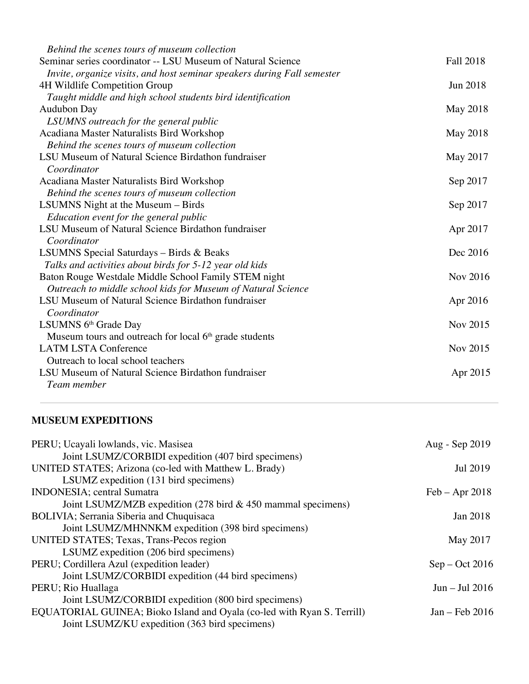| Behind the scenes tours of museum collection                            |                  |
|-------------------------------------------------------------------------|------------------|
| Seminar series coordinator -- LSU Museum of Natural Science             | <b>Fall 2018</b> |
| Invite, organize visits, and host seminar speakers during Fall semester |                  |
| 4H Wildlife Competition Group                                           | Jun 2018         |
| Taught middle and high school students bird identification              |                  |
| <b>Audubon Day</b>                                                      | May 2018         |
| LSUMNS outreach for the general public                                  |                  |
| Acadiana Master Naturalists Bird Workshop                               | May 2018         |
| Behind the scenes tours of museum collection                            |                  |
| LSU Museum of Natural Science Birdathon fundraiser                      | May 2017         |
| Coordinator                                                             |                  |
| Acadiana Master Naturalists Bird Workshop                               | Sep 2017         |
| Behind the scenes tours of museum collection                            |                  |
| LSUMNS Night at the Museum – Birds                                      | Sep 2017         |
| Education event for the general public                                  |                  |
| LSU Museum of Natural Science Birdathon fundraiser                      | Apr 2017         |
| Coordinator                                                             |                  |
| LSUMNS Special Saturdays - Birds & Beaks                                | Dec 2016         |
| Talks and activities about birds for 5-12 year old kids                 |                  |
| Baton Rouge Westdale Middle School Family STEM night                    | Nov 2016         |
| Outreach to middle school kids for Museum of Natural Science            |                  |
| LSU Museum of Natural Science Birdathon fundraiser                      | Apr 2016         |
| Coordinator                                                             |                  |
| LSUMNS 6 <sup>th</sup> Grade Day                                        | Nov 2015         |
| Museum tours and outreach for local 6 <sup>th</sup> grade students      |                  |
| <b>LATM LSTA Conference</b>                                             | Nov 2015         |
| Outreach to local school teachers                                       |                  |
| LSU Museum of Natural Science Birdathon fundraiser                      | Apr 2015         |
| Team member                                                             |                  |

# **MUSEUM EXPEDITIONS**

| Aug - Sep 2019   |
|------------------|
|                  |
| Jul 2019         |
|                  |
| $Feb - Apr 2018$ |
|                  |
| Jan 2018         |
|                  |
| May 2017         |
|                  |
| $Sep - Oct 2016$ |
|                  |
| $Jun - Jul 2016$ |
|                  |
| Jan – Feb 2016   |
|                  |
|                  |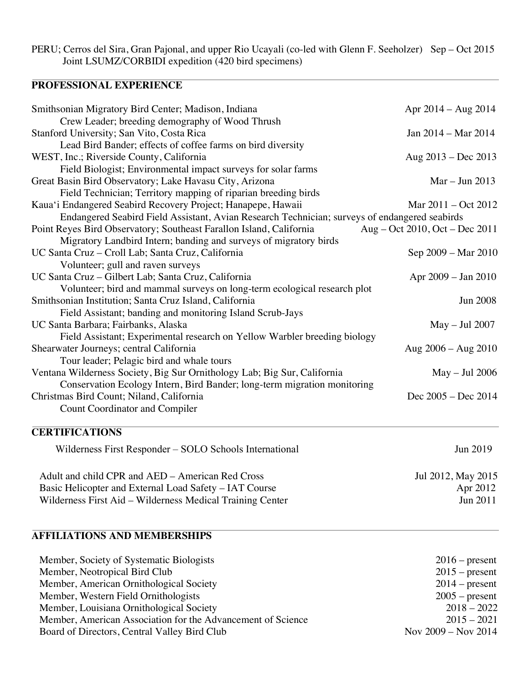PERU; Cerros del Sira, Gran Pajonal, and upper Rio Ucayali (co-led with Glenn F. Seeholzer) Sep – Oct 2015 Joint LSUMZ/CORBIDI expedition (420 bird specimens)

# **PROFESSIONAL EXPERIENCE**

| Smithsonian Migratory Bird Center; Madison, Indiana                                           | Apr $2014 - Aug 2014$          |
|-----------------------------------------------------------------------------------------------|--------------------------------|
| Crew Leader; breeding demography of Wood Thrush                                               |                                |
| Stanford University; San Vito, Costa Rica                                                     | Jan 2014 – Mar 2014            |
| Lead Bird Bander; effects of coffee farms on bird diversity                                   |                                |
| WEST, Inc.; Riverside County, California                                                      | Aug $2013 - Dec 2013$          |
| Field Biologist; Environmental impact surveys for solar farms                                 |                                |
| Great Basin Bird Observatory; Lake Havasu City, Arizona                                       | $Mar - Jun 2013$               |
| Field Technician; Territory mapping of riparian breeding birds                                |                                |
| Kaua'i Endangered Seabird Recovery Project; Hanapepe, Hawaii                                  | Mar $2011 - Oct$ $2012$        |
| Endangered Seabird Field Assistant, Avian Research Technician; surveys of endangered seabirds |                                |
| Point Reyes Bird Observatory; Southeast Farallon Island, California                           | Aug – Oct 2010, Oct – Dec 2011 |
| Migratory Landbird Intern; banding and surveys of migratory birds                             |                                |
| UC Santa Cruz - Croll Lab; Santa Cruz, California                                             | Sep 2009 – Mar 2010            |
| Volunteer; gull and raven surveys                                                             |                                |
| UC Santa Cruz – Gilbert Lab; Santa Cruz, California                                           | Apr 2009 – Jan 2010            |
| Volunteer; bird and mammal surveys on long-term ecological research plot                      |                                |
| Smithsonian Institution; Santa Cruz Island, California                                        | <b>Jun 2008</b>                |
| Field Assistant; banding and monitoring Island Scrub-Jays                                     |                                |
| UC Santa Barbara; Fairbanks, Alaska                                                           | $May - Jul 2007$               |
| Field Assistant; Experimental research on Yellow Warbler breeding biology                     |                                |
| Shearwater Journeys; central California                                                       | Aug $2006 - \text{Aug } 2010$  |
| Tour leader; Pelagic bird and whale tours                                                     |                                |
| Ventana Wilderness Society, Big Sur Ornithology Lab; Big Sur, California                      | $May - Jul 2006$               |
| Conservation Ecology Intern, Bird Bander; long-term migration monitoring                      |                                |
| Christmas Bird Count; Niland, California                                                      | Dec 2005 - Dec 2014            |
| <b>Count Coordinator and Compiler</b>                                                         |                                |
|                                                                                               |                                |

# **CERTIFICATIONS**

| Wilderness First Responder – SOLO Schools International                                                             | Jun 2019                    |
|---------------------------------------------------------------------------------------------------------------------|-----------------------------|
| Adult and child CPR and AED – American Red Cross                                                                    | Jul 2012, May 2015          |
| Basic Helicopter and External Load Safety – IAT Course<br>Wilderness First Aid – Wilderness Medical Training Center | Apr 2012<br><b>Jun 2011</b> |

# **AFFILIATIONS AND MEMBERSHIPS**

| Member, Society of Systematic Biologists                    | $2016$ – present        |
|-------------------------------------------------------------|-------------------------|
| Member, Neotropical Bird Club                               | $2015$ – present        |
| Member, American Ornithological Society                     | $2014$ – present        |
| Member, Western Field Ornithologists                        | $2005$ – present        |
| Member, Louisiana Ornithological Society                    | $2018 - 2022$           |
| Member, American Association for the Advancement of Science | $2015 - 2021$           |
| Board of Directors, Central Valley Bird Club                | Nov $2009 -$ Nov $2014$ |